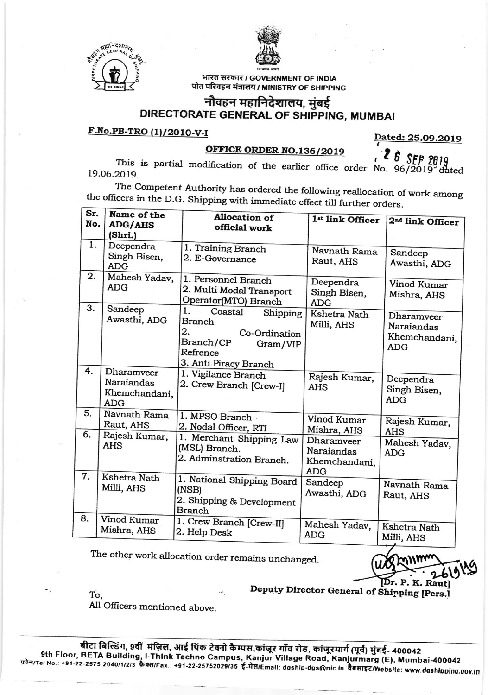



भारत सरकार / GOVERNMENT OF INDIA पोत परिवहन मंत्रालय / MINISTRY OF SHIPPING

## नौवहन महानिदेशालय, मुंबई DIRECTORATE GENERAL OF SHIPPING, MUMBAI

## F.No.PB-TRO (1)/2010-V-I

Dated: 25.09.2019

## OFFICE ORDER NO.136/2019

 $\xi$  5 SEP 2019 This is partial modification of the earlier office order No.  $96/2019$  dated 19.06.2019.

The Competent Authority has ordered the following reallocation of work among the officers in the D.G. Shipping with immediate effect till further orders.

| Sr.<br>No. | Name of the<br><b>ADG/AHS</b><br>(Shri.)                | <b>Allocation of</b><br>official work                                                                                    | 1st link Officer                                        | 2 <sup>nd</sup> link Officer                            |
|------------|---------------------------------------------------------|--------------------------------------------------------------------------------------------------------------------------|---------------------------------------------------------|---------------------------------------------------------|
| 1.         | Deependra<br>Singh Bisen,<br><b>ADG</b>                 | 1. Training Branch<br>2. E-Governance                                                                                    | Navnath Rama<br>Raut, AHS                               | Sandeep<br>Awasthi, ADG                                 |
| 2.         | Mahesh Yadav,<br><b>ADG</b>                             | 1. Personnel Branch<br>2. Multi Modal Transport<br>Operator(MTO) Branch                                                  | Deependra<br>Singh Bisen,<br><b>ADG</b>                 | Vinod Kumar<br>Mishra, AHS                              |
| 3.         | Sandeep<br>Awasthi, ADG                                 | 1.<br>Coastal<br>Shipping<br>Branch<br>2.<br>Co-Ordination<br>Branch/CP<br>Gram/VIP<br>Refrence<br>3. Anti Piracy Branch | Kshetra Nath<br>Milli, AHS                              | Dharamveer<br>Naraiandas<br>Khemchandani,<br><b>ADG</b> |
| 4.         | Dharamveer<br>Naraiandas<br>Khemchandani,<br><b>ADG</b> | 1. Vigilance Branch<br>2. Crew Branch [Crew-I]                                                                           | Rajesh Kumar,<br><b>AHS</b>                             | Deependra<br>Singh Bisen,<br><b>ADG</b>                 |
| 5.         | Navnath Rama<br>Raut, AHS                               | 1. MPSO Branch<br>2. Nodal Officer, RTI                                                                                  | Vinod Kumar<br>Mishra, AHS                              | Rajesh Kumar,<br>AHS                                    |
| 6.         | Rajesh Kumar,<br><b>AHS</b>                             | 1. Merchant Shipping Law<br>(MSL) Branch.<br>2. Adminstration Branch.                                                    | Dharamveer<br>Naraiandas<br>Khemchandani,<br><b>ADG</b> | Mahesh Yadav,<br><b>ADG</b>                             |
| 7.         | Kshetra Nath<br>Milli, AHS                              | 1. National Shipping Board<br>(NSB)<br>2. Shipping & Development<br><b>Branch</b>                                        | Sandeep<br>Awasthi, ADG                                 | Navnath Rama<br>Raut, AHS                               |
| 8.         | Vinod Kumar<br>Mishra, AHS                              | 1. Crew Branch [Crew-II]<br>2. Help Desk                                                                                 | Mahesh Yadav,<br><b>ADG</b>                             | Kshetra Nath<br>Milli AHS                               |

The other work allocation order remains unchanged.

IDr. P

Deputy Director General of Shipping [Pers.]

All Officers mentioned above.

To.

बीटा बिल्डिंग, 9वीं मंज़िल, आई थिंक टेक्नो कैम्पस,कांजूर गाँव रोड, कांजूरमार्ग (पूर्व) मुंबई- 400042